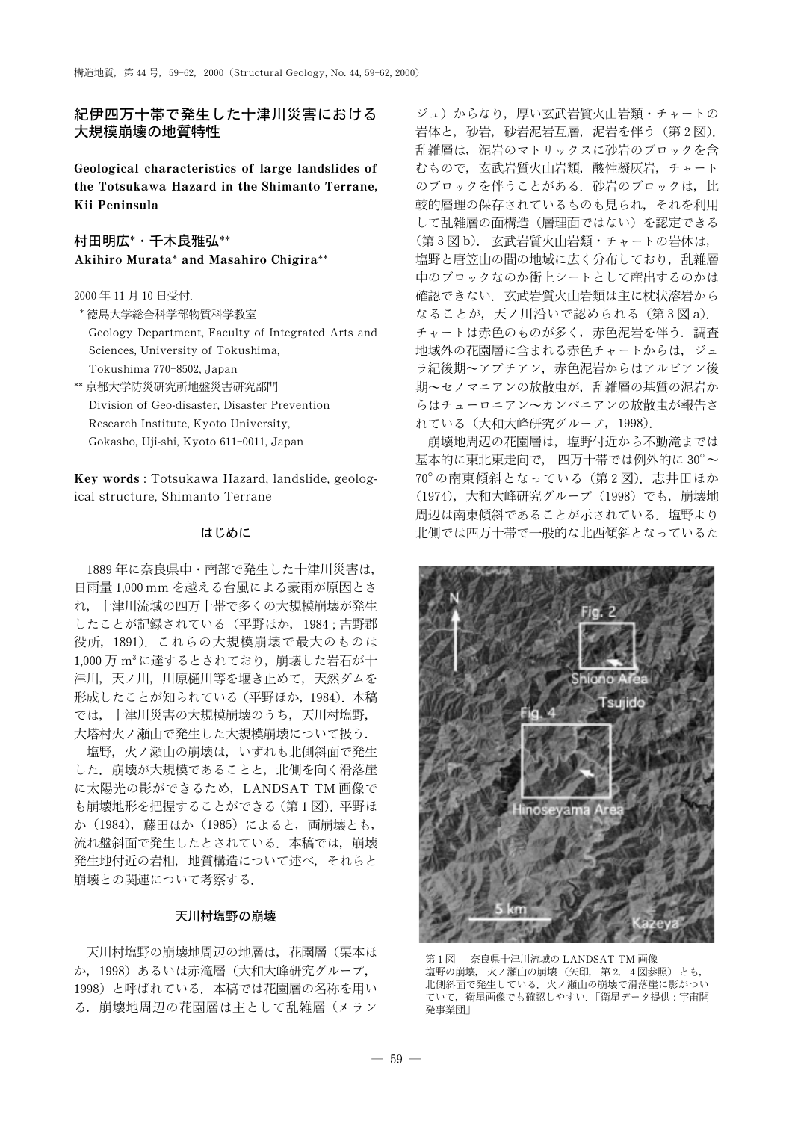# 紀伊四万十帯で発生した十津川災害における 大規模崩壊の地質特性

Geological characteristics of large landslides of the Totsukawa Hazard in the Shimanto Terrane. Kii Peninsula

# 村田明広\*·千木良雅弘\*\* Akihiro Murata\* and Masahiro Chigira\*\*

2000年11月10日受付.

\* 徳島大学総合科学部物質科学教室 Geology Department, Faculty of Integrated Arts and Sciences. University of Tokushima.

Tokushima 770-8502, Japan

\*\* 京都大学防災研究所地盤災害研究部門 Division of Geo-disaster, Disaster Prevention Research Institute, Kyoto University, Gokasho, Uji-shi, Kyoto 611-0011, Japan

Key words: Totsukawa Hazard, landslide, geological structure, Shimanto Terrane

## はじめに

1889年に奈良県中·南部で発生した十津川災害は, 日雨量 1,000 mm を越える台風による豪雨が原因とさ れ、十津川流域の四万十帯で多くの大規模崩壊が発生 したことが記録されている (平野ほか, 1984;吉野郡 役所, 1891). これらの大規模崩壊で最大のものは 1,000 万 m3 に達するとされており、崩壊した岩石が十 津川,天ノ川,川原樋川等を堰き止めて,天然ダムを 形成したことが知られている (平野ほか, 1984). 本稿 では、十津川災害の大規模崩壊のうち、天川村塩野, 大塔村火ノ瀬山で発生した大規模崩壊について扱う.

塩野,火ノ瀬山の崩壊は、いずれも北側斜面で発生 した. 崩壊が大規模であることと、北側を向く滑落崖 に太陽光の影ができるため、LANDSAT TM画像で も崩壊地形を把握することができる (第1図). 平野ほ か (1984), 藤田ほか (1985) によると、両崩壊とも, 流れ盤斜面で発生したとされている。本稿では、崩壊 発生地付近の岩相、地質構造について述べ、それらと 崩壊との関連について考察する.

### 天川村塩野の崩壊

天川村塩野の崩壊地周辺の地層は、花園層(栗本ほ か、1998) あるいは赤滝層(大和大峰研究グループ, 1998)と呼ばれている. 本稿では花園層の名称を用い る. 崩壊地周辺の花園層は主として乱雑層(メラン

ジュ)からなり、厚い玄武岩質火山岩類・チャートの 岩体と, 砂岩, 砂岩泥岩互層, 泥岩を伴う (第2図). 乱雑層は、泥岩のマトリックスに砂岩のブロックを含 むもので、玄武岩質火山岩類、酸性凝灰岩、チャート のブロックを伴うことがある。砂岩のブロックは、比 較的層理の保存されているものも見られ、それを利用 して乱雑層の面構造(層理面ではない)を認定できる (第3図b). 玄武岩質火山岩類·チャートの岩体は, 塩野と唐笠山の間の地域に広く分布しており、乱雑層 中のブロックなのか衝上シートとして産出するのかは 確認できない.玄武岩質火山岩類は主に枕状溶岩から なることが、天ノ川沿いで認められる (第3図a). チャートは赤色のものが多く、赤色泥岩を伴う、調査 地域外の花園層に含まれる赤色チャートからは、ジュ ラ紀後期~アプチアン、赤色泥岩からはアルビアン後 期~セノマニアンの放散虫が、乱雑層の基質の泥岩か らはチューロニアン~カンパニアンの放散虫が報告さ れている (大和大峰研究グループ, 1998).

崩壊地周辺の花園層は、塩野付近から不動滝までは 基本的に東北東走向で、 四万十帯では例外的に 30°~ 70°の南東傾斜となっている (第2図). 志井田ほか (1974), 大和大峰研究グループ (1998) でも、崩壊地 周辺は南東傾斜であることが示されている。塩野より 北側では四万十帯で一般的な北西傾斜となっているた



奈良県十津川流域の LANDSAT TM 画像 第1図 塩野の崩壊, 火ノ瀬山の崩壊 (矢印, 第2, 4図参照) とも, 北側斜面で発生している。火ノ瀬山の崩壊で滑落崖に影がつい ていて、衛星画像でも確認しやすい、「衛星データ提供:宇宙開 発事業団 |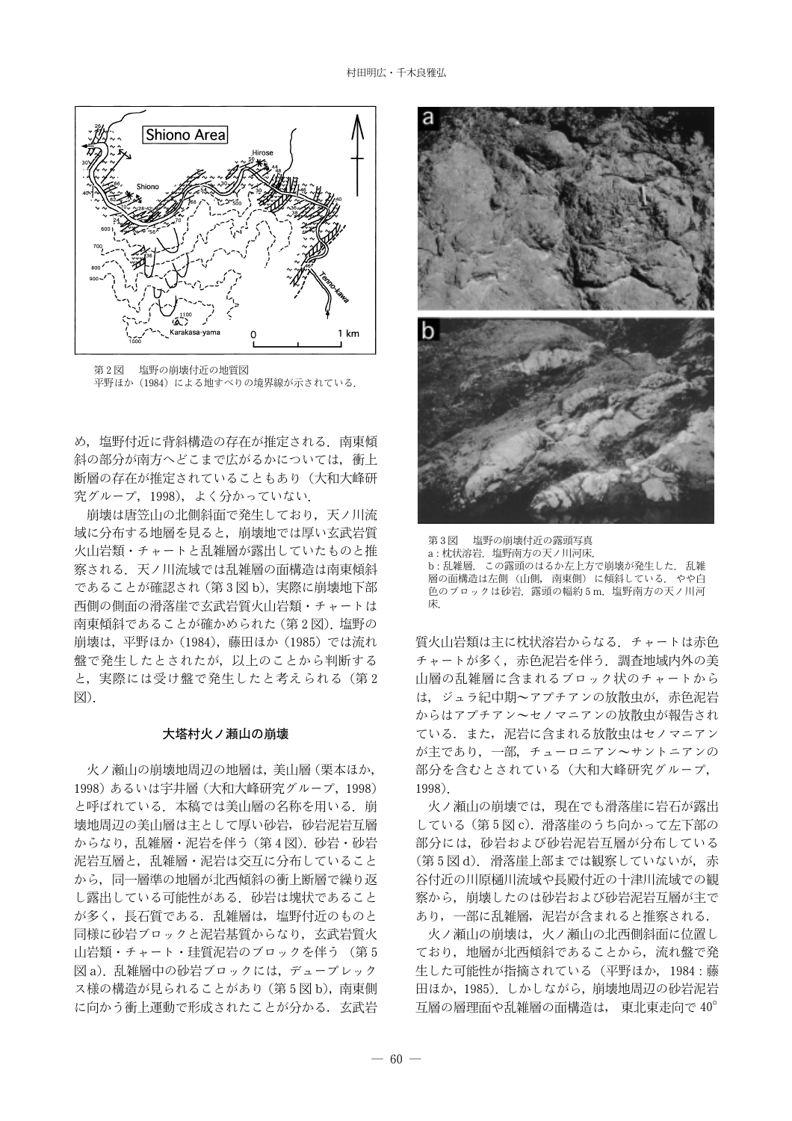

第2図 塩野の崩壊付近の地質図 平野ほか (1984) による地すべりの境界線が示されている.

め、塩野付近に背斜構造の存在が推定される。南東傾 斜の部分が南方へどこまで広がるかについては、衝上 断層の存在が推定されていることもあり(大和大峰研 究グループ, 1998), よく分かっていない.

崩壊は唐笠山の北側斜面で発生しており、天ノ川流 域に分布する地層を見ると、崩壊地では厚い玄武岩質 火山岩類・チャートと乱雑層が露出していたものと推 察される。天ノ川流域では乱雑層の面構造は南東傾斜 であることが確認され (第3図b),実際に崩壊地下部 西側の側面の滑落崖で女武岩質火山岩類・チャートは 南東傾斜であることが確かめられた (第2図). 塩野の 崩壊は、平野ほか (1984), 藤田ほか (1985) では流れ 盤で発生したとされたが、以上のことから判断する と、実際には受け盤で発生したと考えられる(第2 図).

#### 大塔村火ノ瀬山の崩壊

火ノ瀬山の崩壊地周辺の地層は、美山層 (栗本ほか, 1998) あるいは宇井層 (大和大峰研究グループ, 1998) と呼ばれている。本稿では美山層の名称を用いる。崩 壊地周辺の美山層は主として厚い砂岩、砂岩泥岩互層 からなり、乱雑層・泥岩を伴う (第4図). 砂岩・砂岩 泥岩互層と、乱雑層・泥岩は交互に分布していること から、同一層準の地層が北西傾斜の衝上断層で繰り返 し露出している可能性がある。砂岩は塊状であること が多く、長石質である、乱雑層は、塩野付近のものと 同様に砂岩ブロックと泥岩基質からなり、玄武岩質火 山岩類・チャート・珪質泥岩のブロックを伴う (第5 図a). 乱雑層中の砂岩ブロックには、デュープレック ス様の構造が見られることがあり (第5図b), 南東側 に向かう衝上運動で形成されたことが分かる。玄武岩



塩野の崩壊付近の露頭写真 第3図 a: 枕状溶岩. 塩野南方の天ノ川河床. b: 乱雑層. この露頭のはるか左上方で崩壊が発生した. 乱雑 層の面構造は左側 (山側, 南東側) に傾斜している. やや白 色のブロックは砂岩. 露頭の幅約5m. 塩野南方の天ノ川河 床

質火山岩類は主に枕状溶岩からなる. チャートは赤色 チャートが多く、赤色泥岩を伴う、調査地域内外の美 山層の乱雑層に含まれるブロック状のチャートから は、ジュラ紀中期~アプチアンの放散虫が、赤色泥岩 からはアプチアン~セノマニアンの放散虫が報告され ている。また、泥岩に含まれる放散虫はセノマニアン が主であり、一部、チューロニアン~サントニアンの 部分を含むとされている(大和大峰研究グループ, 1998)

火ノ瀬山の崩壊では、現在でも滑落崖に岩石が露出 している(第5図c) 滑落崖のうち向かって左下部の 部分には、砂岩および砂岩泥岩互層が分布している (第5図d). 滑落崖上部までは観察していないが、赤 谷付近の川原樋川流域や長殿付近の十津川流域での観 察から、崩壊したのは砂岩および砂岩泥岩互層が主で あり、一部に乱雑層、泥岩が含まれると推察される。

火ノ瀬山の崩壊は、火ノ瀬山の北西側斜面に位置し ており、地層が北西傾斜であることから、流れ盤で発 生した可能性が指摘されている (平野ほか, 1984:藤 田ほか, 1985). しかしながら、崩壊地周辺の砂岩泥岩 互層の層理面や乱雑層の面構造は、 東北東走向で 40°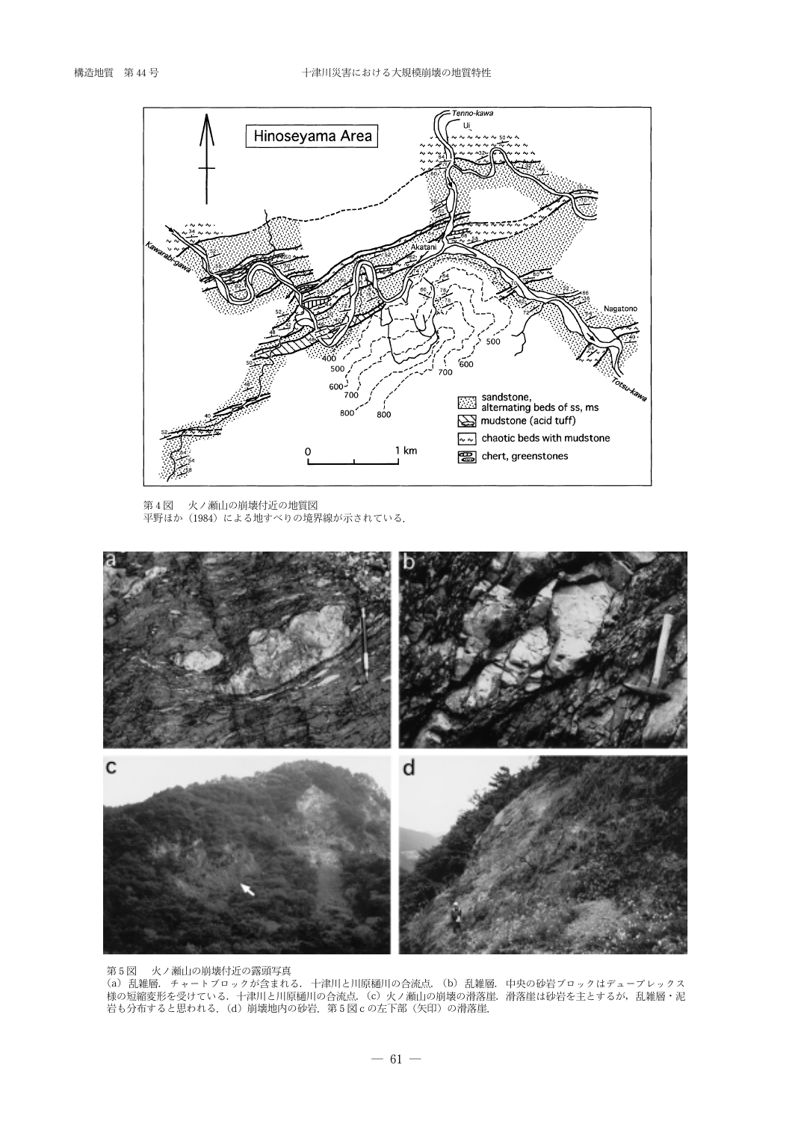

火ノ瀬山の崩壊付近の地質図 第4図 平野ほか (1984) による地すべりの境界線が示されている.



50日 - ハン碗山の海索内辺の路頭→共<br>(a)乱雑層.チャートブロックが含まれる.十津川と川原樋川の合流点.(b)乱雑層.中央の砂岩ブロックはデュープレックス<br>様の短縮変形を受けている.十津川と川原樋川の合流点.(c)火ノ瀬山の崩壊の滑落崖.滑落崖は砂岩を主とするが,乱雑層・泥<br>岩も分布すると思われる.(d)崩壊地内の砂岩.第5図cの左下部(矢印)の滑落崖.